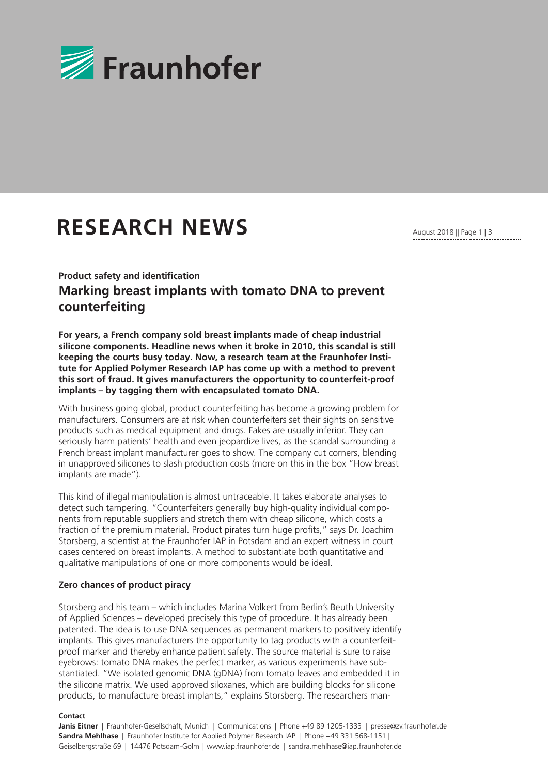

# **RESEARCH NEWS**

August 2018 || Page 1 | 3

## **Product safety and identification Marking breast implants with tomato DNA to prevent counterfeiting**

**For years, a French company sold breast implants made of cheap industrial silicone components. Headline news when it broke in 2010, this scandal is still keeping the courts busy today. Now, a research team at the Fraunhofer Institute for Applied Polymer Research IAP has come up with a method to prevent this sort of fraud. It gives manufacturers the opportunity to counterfeit-proof implants – by tagging them with encapsulated tomato DNA.** 

With business going global, product counterfeiting has become a growing problem for manufacturers. Consumers are at risk when counterfeiters set their sights on sensitive products such as medical equipment and drugs. Fakes are usually inferior. They can seriously harm patients' health and even jeopardize lives, as the scandal surrounding a French breast implant manufacturer goes to show. The company cut corners, blending in unapproved silicones to slash production costs (more on this in the box "How breast implants are made").

This kind of illegal manipulation is almost untraceable. It takes elaborate analyses to detect such tampering. "Counterfeiters generally buy high-quality individual components from reputable suppliers and stretch them with cheap silicone, which costs a fraction of the premium material. Product pirates turn huge profits," says Dr. Joachim Storsberg, a scientist at the Fraunhofer IAP in Potsdam and an expert witness in court cases centered on breast implants. A method to substantiate both quantitative and qualitative manipulations of one or more components would be ideal.

### **Zero chances of product piracy**

Storsberg and his team – which includes Marina Volkert from Berlin's Beuth University of Applied Sciences – developed precisely this type of procedure. It has already been patented. The idea is to use DNA sequences as permanent markers to positively identify implants. This gives manufacturers the opportunity to tag products with a counterfeitproof marker and thereby enhance patient safety. The source material is sure to raise eyebrows: tomato DNA makes the perfect marker, as various experiments have substantiated. "We isolated genomic DNA (gDNA) from tomato leaves and embedded it in the silicone matrix. We used approved siloxanes, which are building blocks for silicone products, to manufacture breast implants," explains Storsberg. The researchers man-

#### **Contact**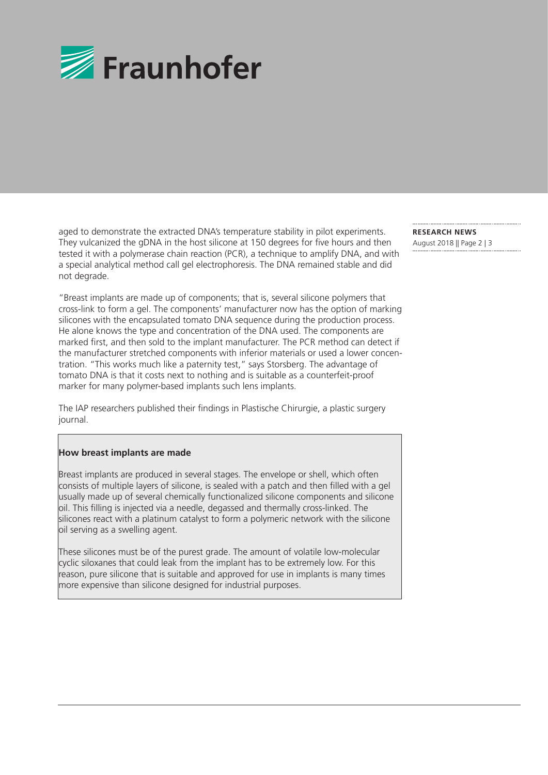

aged to demonstrate the extracted DNA's temperature stability in pilot experiments. They vulcanized the gDNA in the host silicone at 150 degrees for five hours and then tested it with a polymerase chain reaction (PCR), a technique to amplify DNA, and with a special analytical method call gel electrophoresis. The DNA remained stable and did not degrade.

"Breast implants are made up of components; that is, several silicone polymers that cross-link to form a gel. The components' manufacturer now has the option of marking silicones with the encapsulated tomato DNA sequence during the production process. He alone knows the type and concentration of the DNA used. The components are marked first, and then sold to the implant manufacturer. The PCR method can detect if the manufacturer stretched components with inferior materials or used a lower concentration. "This works much like a paternity test," says Storsberg. The advantage of tomato DNA is that it costs next to nothing and is suitable as a counterfeit-proof marker for many polymer-based implants such lens implants.

The IAP researchers published their findings in Plastische Chirurgie, a plastic surgery journal.

### **How breast implants are made**

Breast implants are produced in several stages. The envelope or shell, which often consists of multiple layers of silicone, is sealed with a patch and then filled with a gel usually made up of several chemically functionalized silicone components and silicone oil. This filling is injected via a needle, degassed and thermally cross-linked. The silicones react with a platinum catalyst to form a polymeric network with the silicone oil serving as a swelling agent.

These silicones must be of the purest grade. The amount of volatile low-molecular cyclic siloxanes that could leak from the implant has to be extremely low. For this reason, pure silicone that is suitable and approved for use in implants is many times more expensive than silicone designed for industrial purposes.

**RESEARCH NEWS** 

August 2018 || Page 2 | 3